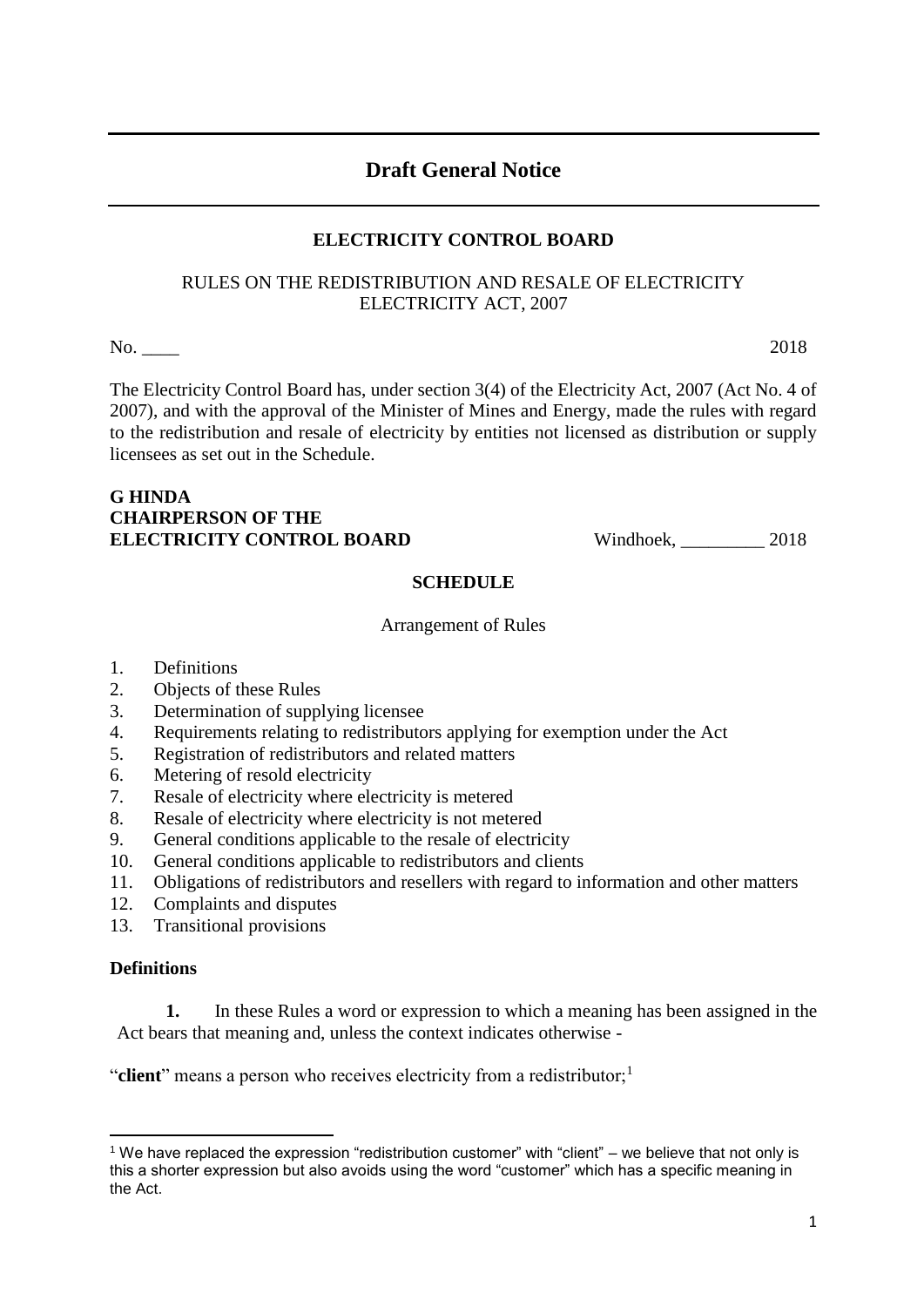1

# **Draft General Notice**

# **ELECTRICITY CONTROL BOARD**

# RULES ON THE REDISTRIBUTION AND RESALE OF ELECTRICITY ELECTRICITY ACT, 2007

No. \_\_\_\_ 2018

The Electricity Control Board has, under section 3(4) of the Electricity Act, 2007 (Act No. 4 of 2007), and with the approval of the Minister of Mines and Energy, made the rules with regard to the redistribution and resale of electricity by entities not licensed as distribution or supply licensees as set out in the Schedule.

# **G HINDA CHAIRPERSON OF THE** ELECTRICITY CONTROL BOARD Windhoek, 2018

# **SCHEDULE**

Arrangement of Rules

- 1. Definitions
- 2. Objects of these Rules
- 3. Determination of supplying licensee
- 4. Requirements relating to redistributors applying for exemption under the Act
- 5. Registration of redistributors and related matters
- 6. Metering of resold electricity
- 7. Resale of electricity where electricity is metered
- 8. Resale of electricity where electricity is not metered
- 9. General conditions applicable to the resale of electricity
- 10. General conditions applicable to redistributors and clients
- 11. Obligations of redistributors and resellers with regard to information and other matters
- 12. Complaints and disputes
- 13. Transitional provisions

# **Definitions**

**1.** In these Rules a word or expression to which a meaning has been assigned in the Act bears that meaning and, unless the context indicates otherwise -

"**client**" means a person who receives electricity from a redistributor;<sup>1</sup>

<sup>1</sup> <sup>1</sup> We have replaced the expression "redistribution customer" with "client" – we believe that not only is this a shorter expression but also avoids using the word "customer" which has a specific meaning in the Act.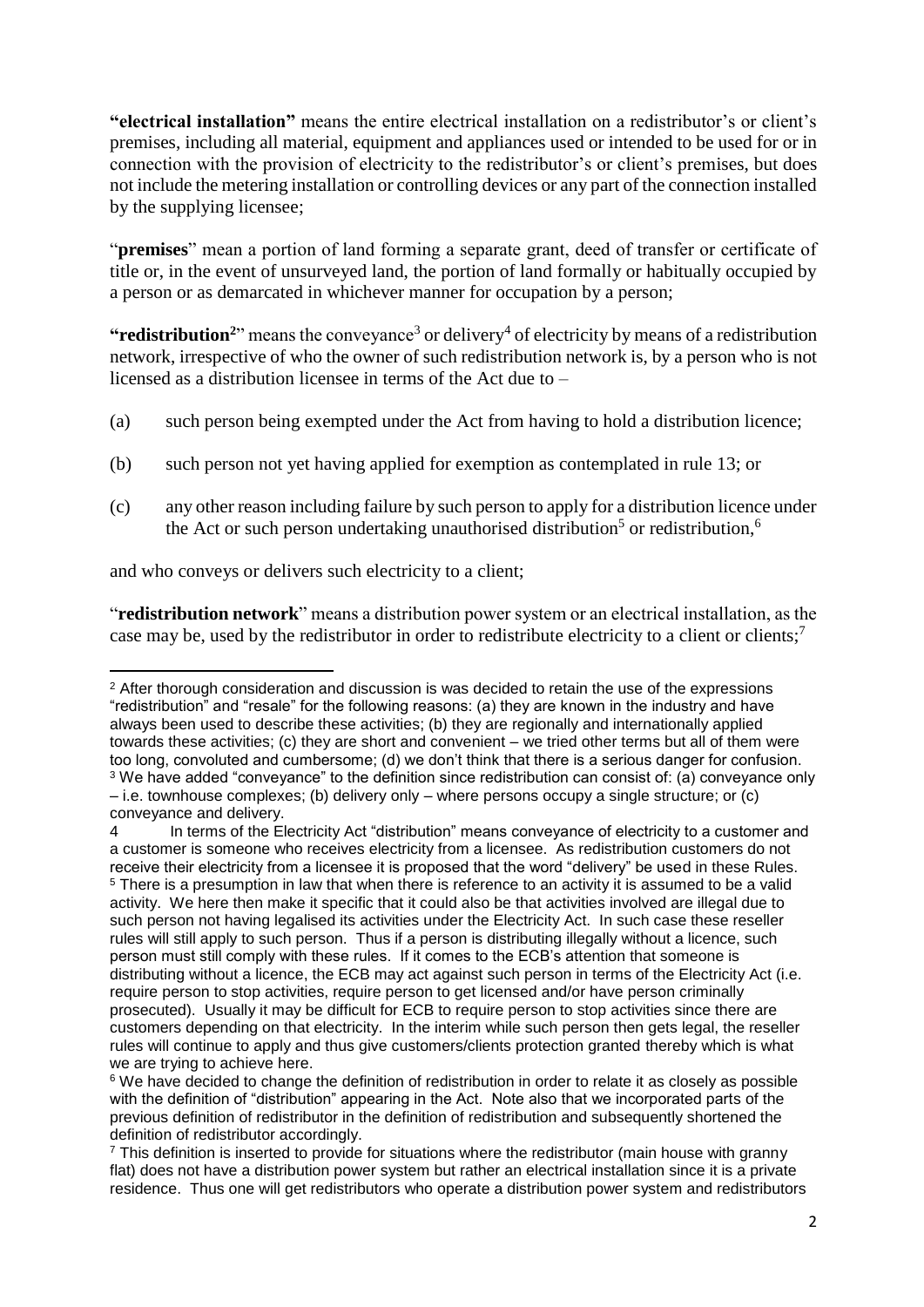**"electrical installation"** means the entire electrical installation on a redistributor's or client's premises, including all material, equipment and appliances used or intended to be used for or in connection with the provision of electricity to the redistributor's or client's premises, but does not include the metering installation or controlling devices or any part of the connection installed by the supplying licensee;

"**premises**" mean a portion of land forming a separate grant, deed of transfer or certificate of title or, in the event of unsurveyed land, the portion of land formally or habitually occupied by a person or as demarcated in whichever manner for occupation by a person;

"**redistribution**<sup>2</sup>" means the conveyance<sup>3</sup> or delivery<sup>4</sup> of electricity by means of a redistribution network, irrespective of who the owner of such redistribution network is, by a person who is not licensed as a distribution licensee in terms of the Act due to –

- (a) such person being exempted under the Act from having to hold a distribution licence;
- (b) such person not yet having applied for exemption as contemplated in rule 13; or
- (c) any other reason including failure by such person to apply for a distribution licence under the Act or such person undertaking unauthorised distribution<sup>5</sup> or redistribution,<sup>6</sup>

and who conveys or delivers such electricity to a client;

"**redistribution network**" means a distribution power system or an electrical installation, as the case may be, used by the redistributor in order to redistribute electricity to a client or clients;<sup>7</sup>

**<sup>.</sup>** <sup>2</sup> After thorough consideration and discussion is was decided to retain the use of the expressions "redistribution" and "resale" for the following reasons: (a) they are known in the industry and have always been used to describe these activities; (b) they are regionally and internationally applied towards these activities; (c) they are short and convenient – we tried other terms but all of them were too long, convoluted and cumbersome; (d) we don't think that there is a serious danger for confusion. <sup>3</sup> We have added "conveyance" to the definition since redistribution can consist of: (a) conveyance only – i.e. townhouse complexes; (b) delivery only – where persons occupy a single structure; or (c) conveyance and delivery.

<sup>4</sup> In terms of the Electricity Act "distribution" means conveyance of electricity to a customer and a customer is someone who receives electricity from a licensee. As redistribution customers do not receive their electricity from a licensee it is proposed that the word "delivery" be used in these Rules. <sup>5</sup> There is a presumption in law that when there is reference to an activity it is assumed to be a valid activity. We here then make it specific that it could also be that activities involved are illegal due to such person not having legalised its activities under the Electricity Act. In such case these reseller rules will still apply to such person. Thus if a person is distributing illegally without a licence, such person must still comply with these rules. If it comes to the ECB's attention that someone is distributing without a licence, the ECB may act against such person in terms of the Electricity Act (i.e. require person to stop activities, require person to get licensed and/or have person criminally prosecuted). Usually it may be difficult for ECB to require person to stop activities since there are customers depending on that electricity. In the interim while such person then gets legal, the reseller rules will continue to apply and thus give customers/clients protection granted thereby which is what we are trying to achieve here.

<sup>&</sup>lt;sup>6</sup> We have decided to change the definition of redistribution in order to relate it as closely as possible with the definition of "distribution" appearing in the Act. Note also that we incorporated parts of the previous definition of redistributor in the definition of redistribution and subsequently shortened the definition of redistributor accordingly.

 $<sup>7</sup>$  This definition is inserted to provide for situations where the redistributor (main house with granny</sup> flat) does not have a distribution power system but rather an electrical installation since it is a private residence. Thus one will get redistributors who operate a distribution power system and redistributors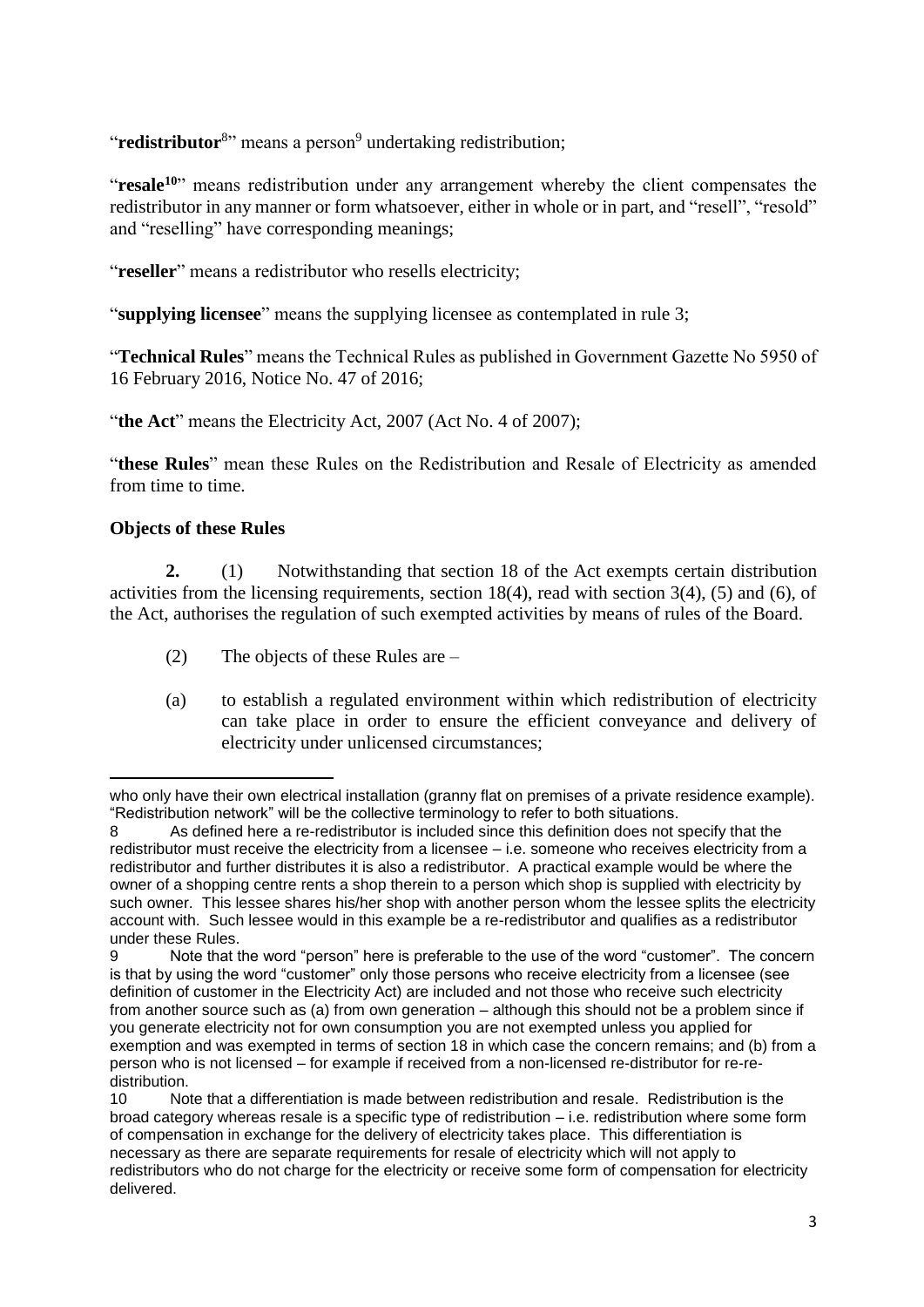"redistributor<sup>8</sup>" means a person<sup>9</sup> undertaking redistribution;

"**resale<sup>10</sup>**" means redistribution under any arrangement whereby the client compensates the redistributor in any manner or form whatsoever, either in whole or in part, and "resell", "resold" and "reselling" have corresponding meanings;

"**reseller**" means a redistributor who resells electricity;

"**supplying licensee**" means the supplying licensee as contemplated in rule 3;

"**Technical Rules**" means the Technical Rules as published in Government Gazette No 5950 of 16 February 2016, Notice No. 47 of 2016;

"the Act" means the Electricity Act, 2007 (Act No. 4 of 2007);

"**these Rules**" mean these Rules on the Redistribution and Resale of Electricity as amended from time to time.

## **Objects of these Rules**

**2.** (1) Notwithstanding that section 18 of the Act exempts certain distribution activities from the licensing requirements, section 18(4), read with section 3(4), (5) and (6), of the Act, authorises the regulation of such exempted activities by means of rules of the Board.

- (2) The objects of these Rules are –
- (a) to establish a regulated environment within which redistribution of electricity can take place in order to ensure the efficient conveyance and delivery of electricity under unlicensed circumstances;

**<sup>.</sup>** who only have their own electrical installation (granny flat on premises of a private residence example). "Redistribution network" will be the collective terminology to refer to both situations.

<sup>8</sup> As defined here a re-redistributor is included since this definition does not specify that the redistributor must receive the electricity from a licensee – i.e. someone who receives electricity from a redistributor and further distributes it is also a redistributor. A practical example would be where the owner of a shopping centre rents a shop therein to a person which shop is supplied with electricity by such owner. This lessee shares his/her shop with another person whom the lessee splits the electricity account with. Such lessee would in this example be a re-redistributor and qualifies as a redistributor under these Rules.

<sup>9</sup> Note that the word "person" here is preferable to the use of the word "customer". The concern is that by using the word "customer" only those persons who receive electricity from a licensee (see definition of customer in the Electricity Act) are included and not those who receive such electricity from another source such as (a) from own generation – although this should not be a problem since if you generate electricity not for own consumption you are not exempted unless you applied for exemption and was exempted in terms of section 18 in which case the concern remains; and (b) from a person who is not licensed – for example if received from a non-licensed re-distributor for re-redistribution.

<sup>10</sup> Note that a differentiation is made between redistribution and resale. Redistribution is the broad category whereas resale is a specific type of redistribution – i.e. redistribution where some form of compensation in exchange for the delivery of electricity takes place. This differentiation is necessary as there are separate requirements for resale of electricity which will not apply to redistributors who do not charge for the electricity or receive some form of compensation for electricity delivered.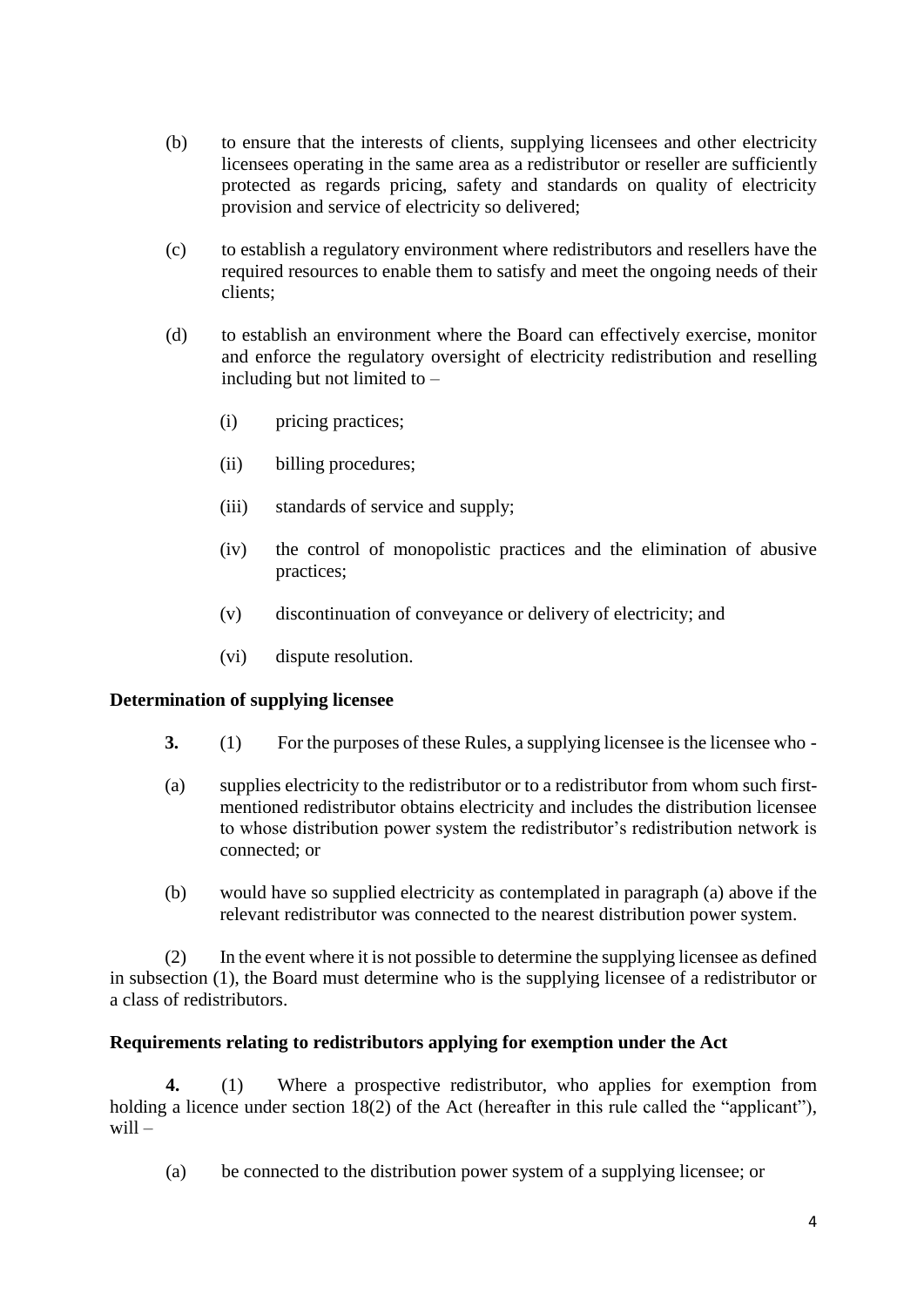- (b) to ensure that the interests of clients, supplying licensees and other electricity licensees operating in the same area as a redistributor or reseller are sufficiently protected as regards pricing, safety and standards on quality of electricity provision and service of electricity so delivered;
- (c) to establish a regulatory environment where redistributors and resellers have the required resources to enable them to satisfy and meet the ongoing needs of their clients;
- (d) to establish an environment where the Board can effectively exercise, monitor and enforce the regulatory oversight of electricity redistribution and reselling including but not limited to –
	- (i) pricing practices;
	- (ii) billing procedures;
	- (iii) standards of service and supply;
	- (iv) the control of monopolistic practices and the elimination of abusive practices;
	- (v) discontinuation of conveyance or delivery of electricity; and
	- (vi) dispute resolution.

#### **Determination of supplying licensee**

- **3.** (1) For the purposes of these Rules, a supplying licensee is the licensee who -
- (a) supplies electricity to the redistributor or to a redistributor from whom such firstmentioned redistributor obtains electricity and includes the distribution licensee to whose distribution power system the redistributor's redistribution network is connected; or
- (b) would have so supplied electricity as contemplated in paragraph (a) above if the relevant redistributor was connected to the nearest distribution power system.

(2) In the event where it is not possible to determine the supplying licensee as defined in subsection (1), the Board must determine who is the supplying licensee of a redistributor or a class of redistributors.

#### **Requirements relating to redistributors applying for exemption under the Act**

**4.** (1) Where a prospective redistributor, who applies for exemption from holding a licence under section 18(2) of the Act (hereafter in this rule called the "applicant"), will –

(a) be connected to the distribution power system of a supplying licensee; or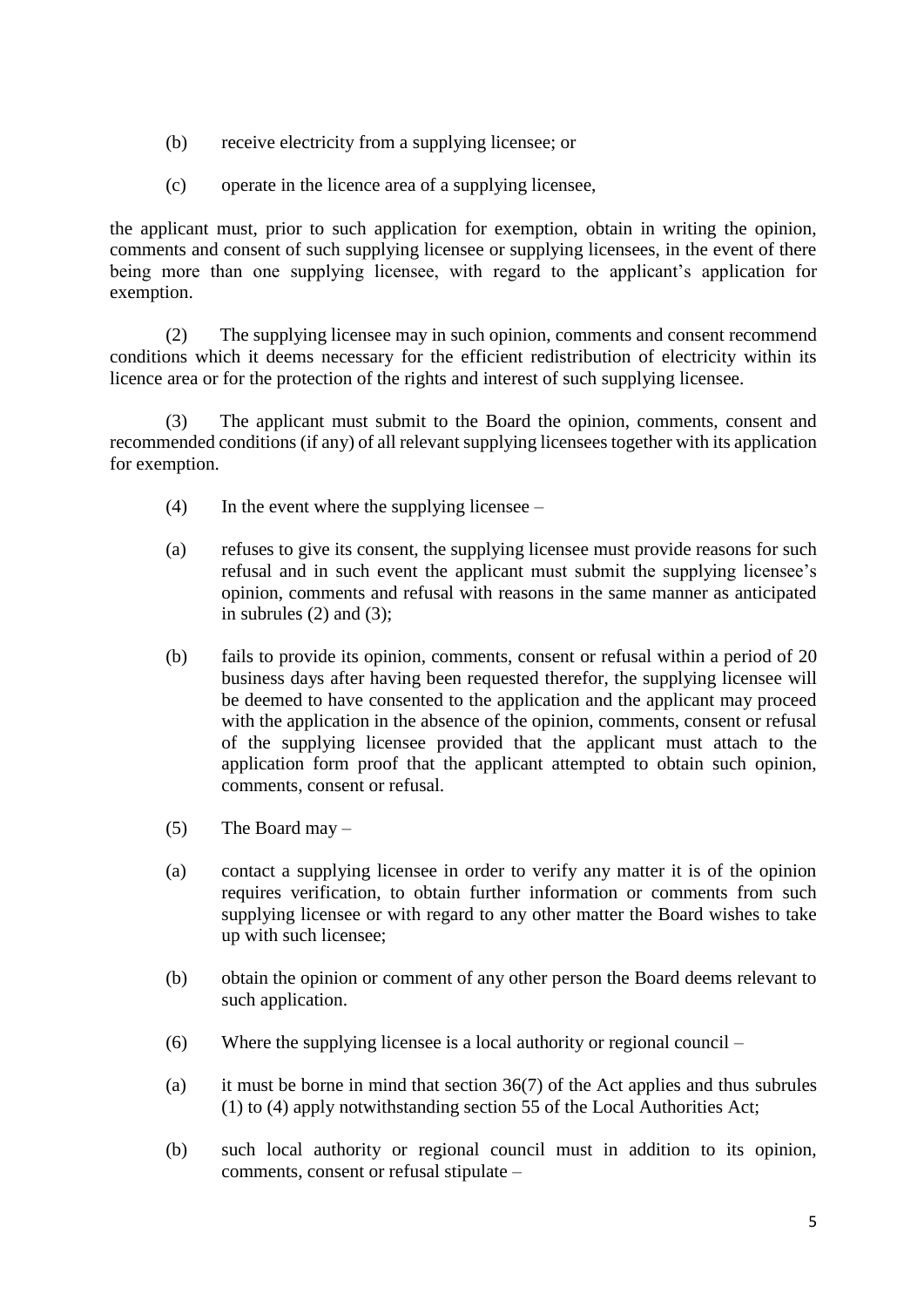- (b) receive electricity from a supplying licensee; or
- (c) operate in the licence area of a supplying licensee,

the applicant must, prior to such application for exemption, obtain in writing the opinion, comments and consent of such supplying licensee or supplying licensees, in the event of there being more than one supplying licensee, with regard to the applicant's application for exemption.

(2) The supplying licensee may in such opinion, comments and consent recommend conditions which it deems necessary for the efficient redistribution of electricity within its licence area or for the protection of the rights and interest of such supplying licensee.

(3) The applicant must submit to the Board the opinion, comments, consent and recommended conditions (if any) of all relevant supplying licensees together with its application for exemption.

- $(4)$  In the event where the supplying licensee –
- (a) refuses to give its consent, the supplying licensee must provide reasons for such refusal and in such event the applicant must submit the supplying licensee's opinion, comments and refusal with reasons in the same manner as anticipated in subrules  $(2)$  and  $(3)$ ;
- (b) fails to provide its opinion, comments, consent or refusal within a period of 20 business days after having been requested therefor, the supplying licensee will be deemed to have consented to the application and the applicant may proceed with the application in the absence of the opinion, comments, consent or refusal of the supplying licensee provided that the applicant must attach to the application form proof that the applicant attempted to obtain such opinion, comments, consent or refusal.
- (5) The Board may  $-$
- (a) contact a supplying licensee in order to verify any matter it is of the opinion requires verification, to obtain further information or comments from such supplying licensee or with regard to any other matter the Board wishes to take up with such licensee;
- (b) obtain the opinion or comment of any other person the Board deems relevant to such application.
- (6) Where the supplying licensee is a local authority or regional council –
- (a) it must be borne in mind that section 36(7) of the Act applies and thus subrules (1) to (4) apply notwithstanding section 55 of the Local Authorities Act;
- (b) such local authority or regional council must in addition to its opinion, comments, consent or refusal stipulate –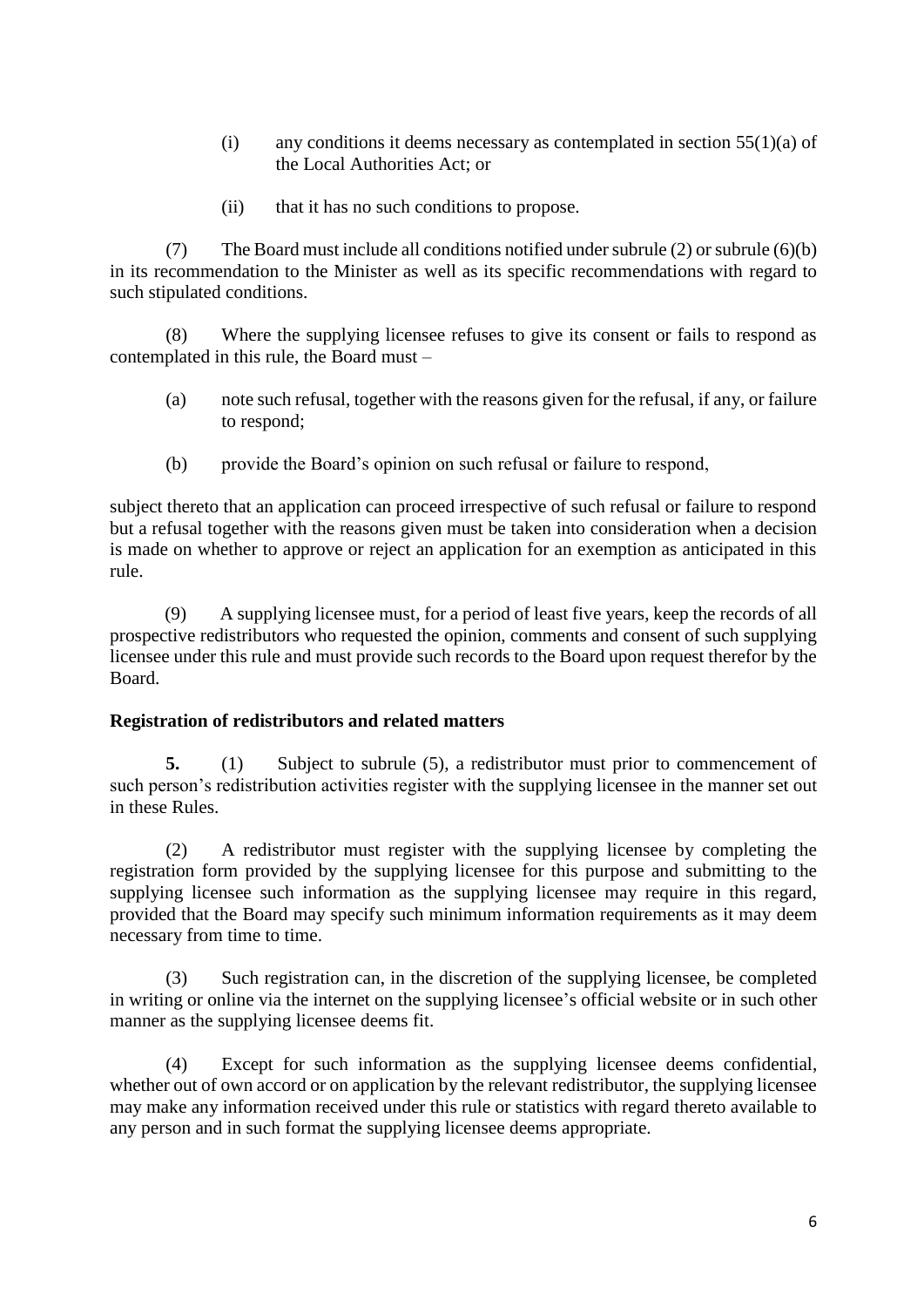- (i) any conditions it deems necessary as contemplated in section  $55(1)(a)$  of the Local Authorities Act; or
- (ii) that it has no such conditions to propose.

(7) The Board must include all conditions notified under subrule (2) or subrule (6)(b) in its recommendation to the Minister as well as its specific recommendations with regard to such stipulated conditions.

(8) Where the supplying licensee refuses to give its consent or fails to respond as contemplated in this rule, the Board must –

- (a) note such refusal, together with the reasons given for the refusal, if any, or failure to respond;
- (b) provide the Board's opinion on such refusal or failure to respond,

subject thereto that an application can proceed irrespective of such refusal or failure to respond but a refusal together with the reasons given must be taken into consideration when a decision is made on whether to approve or reject an application for an exemption as anticipated in this rule.

(9) A supplying licensee must, for a period of least five years, keep the records of all prospective redistributors who requested the opinion, comments and consent of such supplying licensee under this rule and must provide such records to the Board upon request therefor by the Board.

#### **Registration of redistributors and related matters**

**5.** (1) Subject to subrule (5), a redistributor must prior to commencement of such person's redistribution activities register with the supplying licensee in the manner set out in these Rules.

(2) A redistributor must register with the supplying licensee by completing the registration form provided by the supplying licensee for this purpose and submitting to the supplying licensee such information as the supplying licensee may require in this regard, provided that the Board may specify such minimum information requirements as it may deem necessary from time to time.

(3) Such registration can, in the discretion of the supplying licensee, be completed in writing or online via the internet on the supplying licensee's official website or in such other manner as the supplying licensee deems fit.

(4) Except for such information as the supplying licensee deems confidential, whether out of own accord or on application by the relevant redistributor, the supplying licensee may make any information received under this rule or statistics with regard thereto available to any person and in such format the supplying licensee deems appropriate.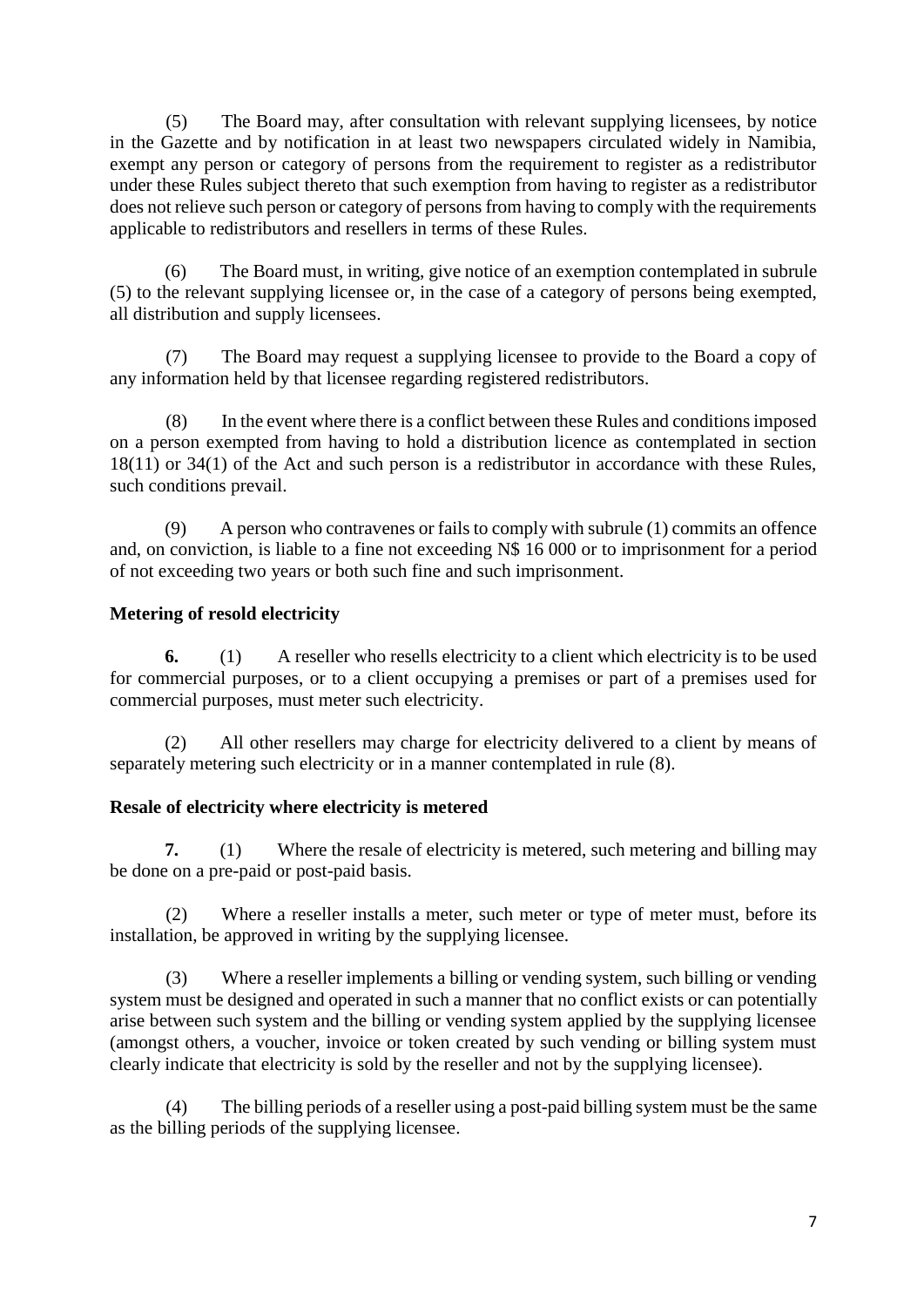(5) The Board may, after consultation with relevant supplying licensees, by notice in the Gazette and by notification in at least two newspapers circulated widely in Namibia, exempt any person or category of persons from the requirement to register as a redistributor under these Rules subject thereto that such exemption from having to register as a redistributor does not relieve such person or category of persons from having to comply with the requirements applicable to redistributors and resellers in terms of these Rules.

(6) The Board must, in writing, give notice of an exemption contemplated in subrule (5) to the relevant supplying licensee or, in the case of a category of persons being exempted, all distribution and supply licensees.

(7) The Board may request a supplying licensee to provide to the Board a copy of any information held by that licensee regarding registered redistributors.

(8) In the event where there is a conflict between these Rules and conditions imposed on a person exempted from having to hold a distribution licence as contemplated in section 18(11) or 34(1) of the Act and such person is a redistributor in accordance with these Rules, such conditions prevail.

(9) A person who contravenes or fails to comply with subrule (1) commits an offence and, on conviction, is liable to a fine not exceeding N\$ 16 000 or to imprisonment for a period of not exceeding two years or both such fine and such imprisonment.

# **Metering of resold electricity**

**6.** (1) A reseller who resells electricity to a client which electricity is to be used for commercial purposes, or to a client occupying a premises or part of a premises used for commercial purposes, must meter such electricity.

(2) All other resellers may charge for electricity delivered to a client by means of separately metering such electricity or in a manner contemplated in rule (8).

## **Resale of electricity where electricity is metered**

**7.** (1) Where the resale of electricity is metered, such metering and billing may be done on a pre-paid or post-paid basis.

(2) Where a reseller installs a meter, such meter or type of meter must, before its installation, be approved in writing by the supplying licensee.

(3) Where a reseller implements a billing or vending system, such billing or vending system must be designed and operated in such a manner that no conflict exists or can potentially arise between such system and the billing or vending system applied by the supplying licensee (amongst others, a voucher, invoice or token created by such vending or billing system must clearly indicate that electricity is sold by the reseller and not by the supplying licensee).

(4) The billing periods of a reseller using a post-paid billing system must be the same as the billing periods of the supplying licensee.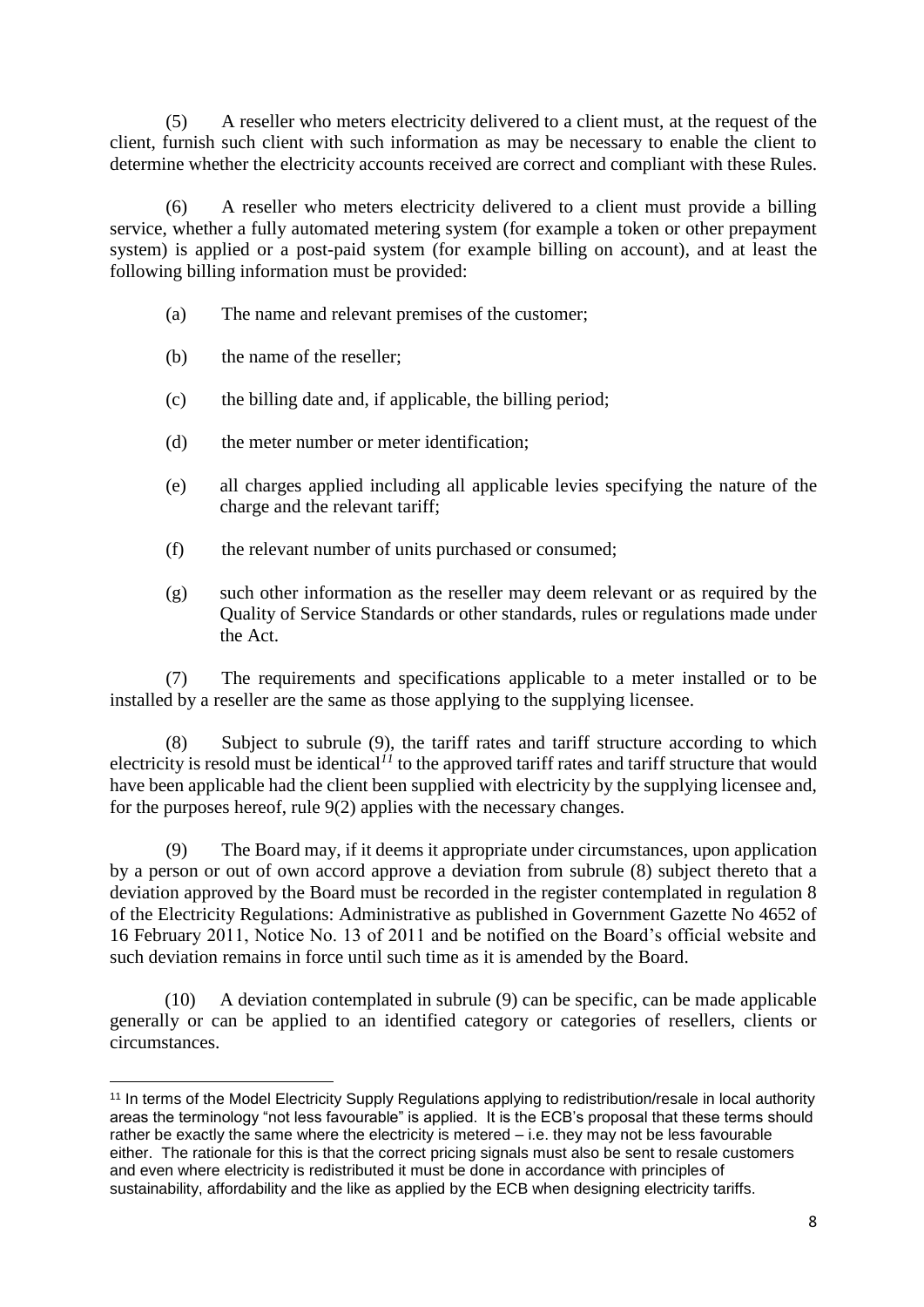(5) A reseller who meters electricity delivered to a client must, at the request of the client, furnish such client with such information as may be necessary to enable the client to determine whether the electricity accounts received are correct and compliant with these Rules.

(6) A reseller who meters electricity delivered to a client must provide a billing service, whether a fully automated metering system (for example a token or other prepayment system) is applied or a post-paid system (for example billing on account), and at least the following billing information must be provided:

- (a) The name and relevant premises of the customer;
- (b) the name of the reseller;
- (c) the billing date and, if applicable, the billing period;
- (d) the meter number or meter identification;
- (e) all charges applied including all applicable levies specifying the nature of the charge and the relevant tariff;
- (f) the relevant number of units purchased or consumed;
- (g) such other information as the reseller may deem relevant or as required by the Quality of Service Standards or other standards, rules or regulations made under the Act.

(7) The requirements and specifications applicable to a meter installed or to be installed by a reseller are the same as those applying to the supplying licensee.

(8) Subject to subrule (9), the tariff rates and tariff structure according to which electricity is resold must be identical*<sup>11</sup>* to the approved tariff rates and tariff structure that would have been applicable had the client been supplied with electricity by the supplying licensee and, for the purposes hereof, rule 9(2) applies with the necessary changes.

(9) The Board may, if it deems it appropriate under circumstances, upon application by a person or out of own accord approve a deviation from subrule (8) subject thereto that a deviation approved by the Board must be recorded in the register contemplated in regulation 8 of the Electricity Regulations: Administrative as published in Government Gazette No 4652 of 16 February 2011, Notice No. 13 of 2011 and be notified on the Board's official website and such deviation remains in force until such time as it is amended by the Board.

(10) A deviation contemplated in subrule (9) can be specific, can be made applicable generally or can be applied to an identified category or categories of resellers, clients or circumstances.

**<sup>.</sup>** <sup>11</sup> In terms of the Model Electricity Supply Regulations applying to redistribution/resale in local authority areas the terminology "not less favourable" is applied. It is the ECB's proposal that these terms should rather be exactly the same where the electricity is metered – i.e. they may not be less favourable either. The rationale for this is that the correct pricing signals must also be sent to resale customers and even where electricity is redistributed it must be done in accordance with principles of sustainability, affordability and the like as applied by the ECB when designing electricity tariffs.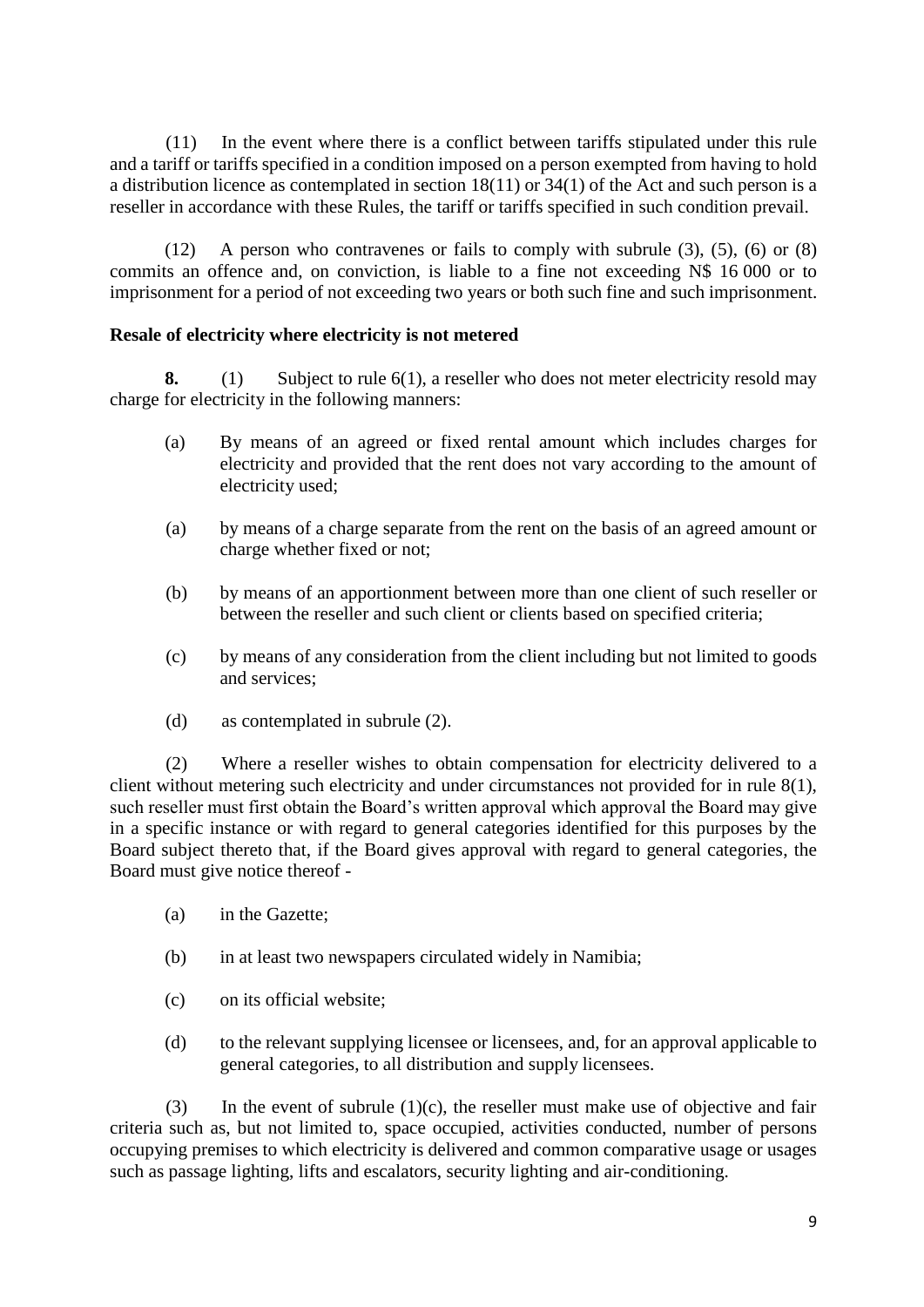(11) In the event where there is a conflict between tariffs stipulated under this rule and a tariff or tariffs specified in a condition imposed on a person exempted from having to hold a distribution licence as contemplated in section 18(11) or 34(1) of the Act and such person is a reseller in accordance with these Rules, the tariff or tariffs specified in such condition prevail.

(12) A person who contravenes or fails to comply with subrule (3), (5), (6) or (8) commits an offence and, on conviction, is liable to a fine not exceeding N\$ 16 000 or to imprisonment for a period of not exceeding two years or both such fine and such imprisonment.

### **Resale of electricity where electricity is not metered**

**8.** (1) Subject to rule 6(1), a reseller who does not meter electricity resold may charge for electricity in the following manners:

- (a) By means of an agreed or fixed rental amount which includes charges for electricity and provided that the rent does not vary according to the amount of electricity used;
- (a) by means of a charge separate from the rent on the basis of an agreed amount or charge whether fixed or not;
- (b) by means of an apportionment between more than one client of such reseller or between the reseller and such client or clients based on specified criteria;
- (c) by means of any consideration from the client including but not limited to goods and services;
- (d) as contemplated in subrule (2).

(2) Where a reseller wishes to obtain compensation for electricity delivered to a client without metering such electricity and under circumstances not provided for in rule 8(1), such reseller must first obtain the Board's written approval which approval the Board may give in a specific instance or with regard to general categories identified for this purposes by the Board subject thereto that, if the Board gives approval with regard to general categories, the Board must give notice thereof -

- (a) in the Gazette;
- (b) in at least two newspapers circulated widely in Namibia;
- (c) on its official website;
- (d) to the relevant supplying licensee or licensees, and, for an approval applicable to general categories, to all distribution and supply licensees.

(3) In the event of subrule  $(1)(c)$ , the reseller must make use of objective and fair criteria such as, but not limited to, space occupied, activities conducted, number of persons occupying premises to which electricity is delivered and common comparative usage or usages such as passage lighting, lifts and escalators, security lighting and air-conditioning.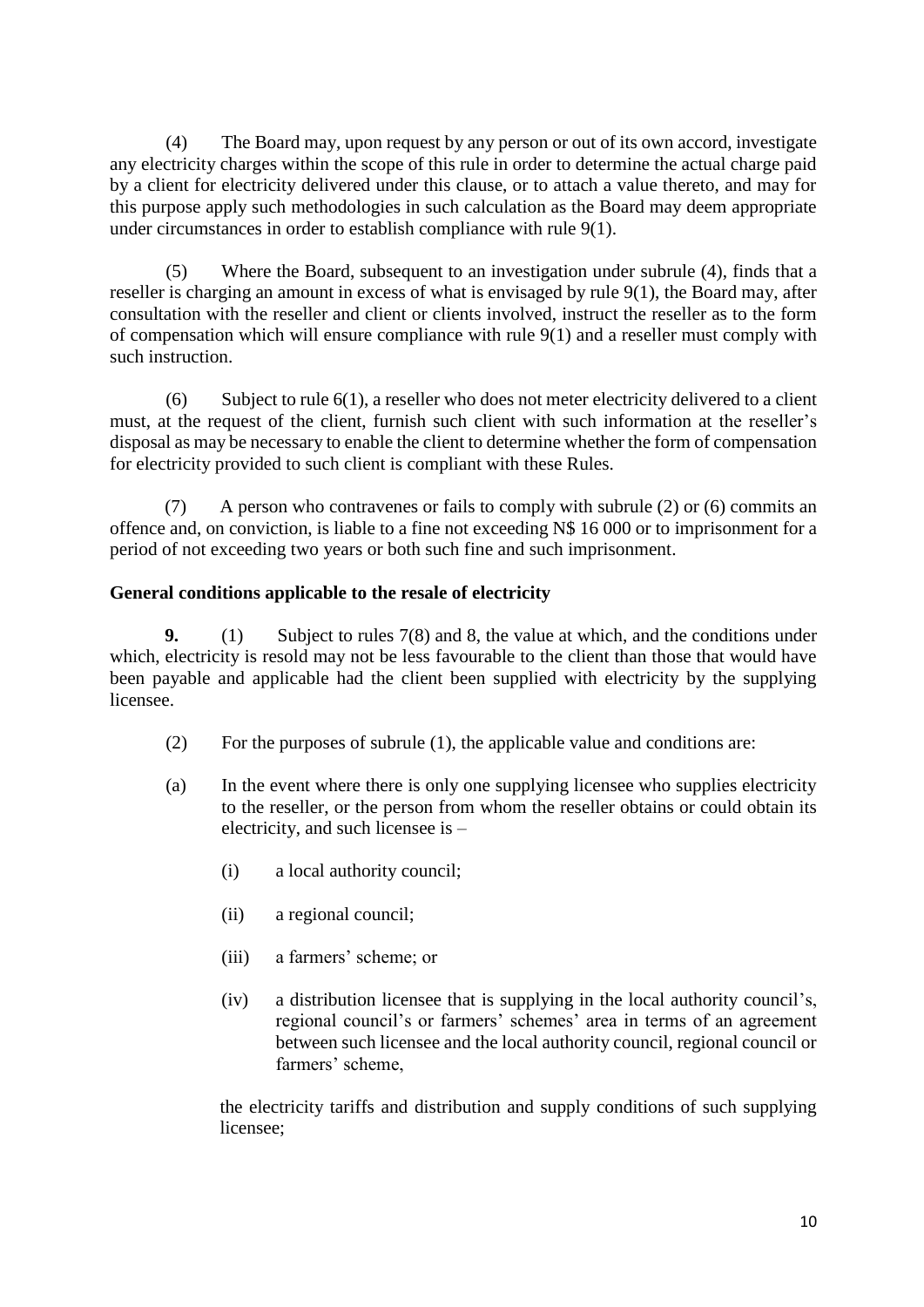(4) The Board may, upon request by any person or out of its own accord, investigate any electricity charges within the scope of this rule in order to determine the actual charge paid by a client for electricity delivered under this clause, or to attach a value thereto, and may for this purpose apply such methodologies in such calculation as the Board may deem appropriate under circumstances in order to establish compliance with rule 9(1).

(5) Where the Board, subsequent to an investigation under subrule (4), finds that a reseller is charging an amount in excess of what is envisaged by rule 9(1), the Board may, after consultation with the reseller and client or clients involved, instruct the reseller as to the form of compensation which will ensure compliance with rule 9(1) and a reseller must comply with such instruction.

(6) Subject to rule  $6(1)$ , a reseller who does not meter electricity delivered to a client must, at the request of the client, furnish such client with such information at the reseller's disposal as may be necessary to enable the client to determine whether the form of compensation for electricity provided to such client is compliant with these Rules.

(7) A person who contravenes or fails to comply with subrule (2) or (6) commits an offence and, on conviction, is liable to a fine not exceeding N\$ 16 000 or to imprisonment for a period of not exceeding two years or both such fine and such imprisonment.

## **General conditions applicable to the resale of electricity**

**9.** (1) Subject to rules 7(8) and 8, the value at which, and the conditions under which, electricity is resold may not be less favourable to the client than those that would have been payable and applicable had the client been supplied with electricity by the supplying licensee.

- (2) For the purposes of subrule (1), the applicable value and conditions are:
- (a) In the event where there is only one supplying licensee who supplies electricity to the reseller, or the person from whom the reseller obtains or could obtain its electricity, and such licensee is –
	- (i) a local authority council;
	- (ii) a regional council;
	- (iii) a farmers' scheme; or
	- (iv) a distribution licensee that is supplying in the local authority council's, regional council's or farmers' schemes' area in terms of an agreement between such licensee and the local authority council, regional council or farmers' scheme,

the electricity tariffs and distribution and supply conditions of such supplying licensee;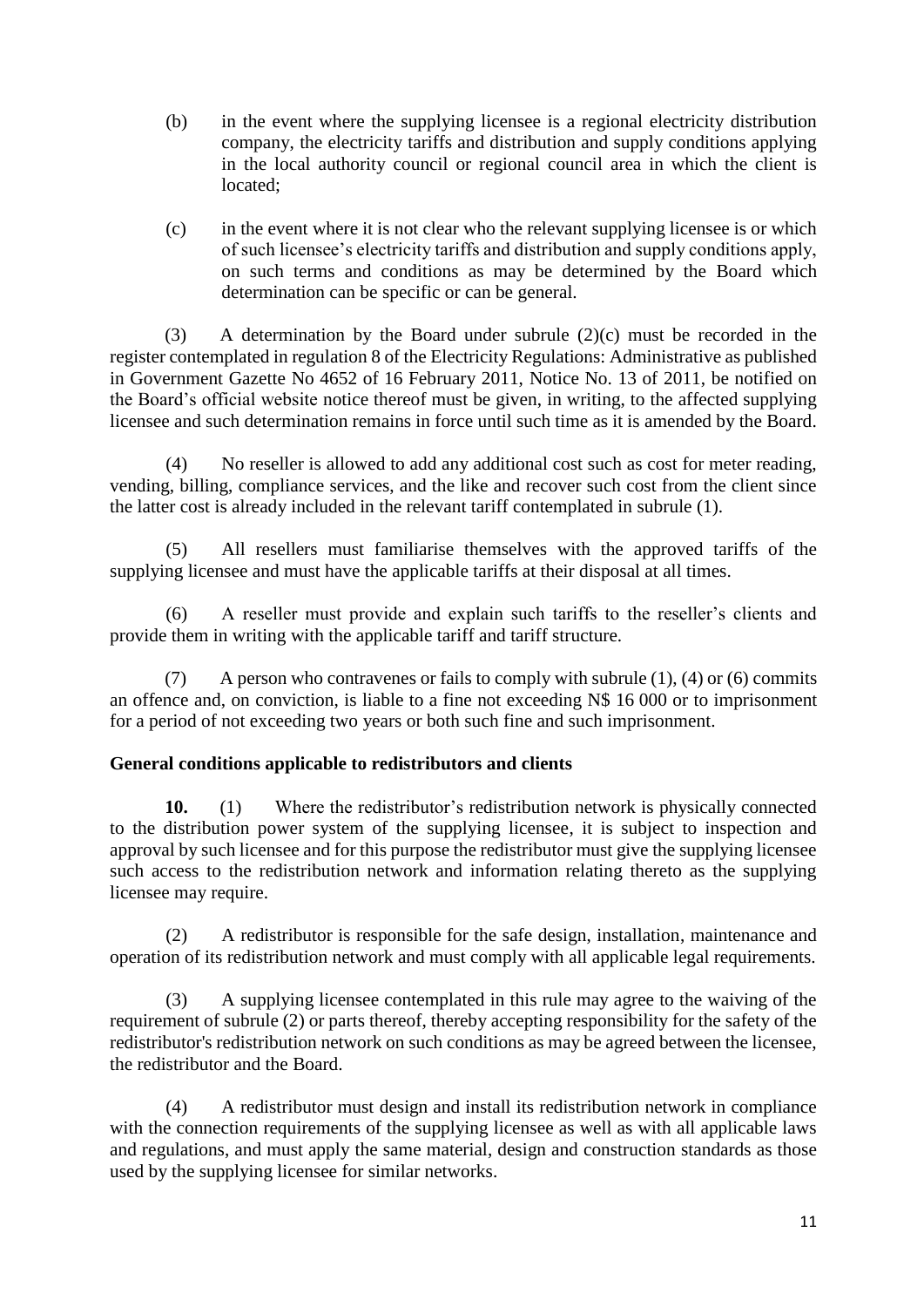- (b) in the event where the supplying licensee is a regional electricity distribution company, the electricity tariffs and distribution and supply conditions applying in the local authority council or regional council area in which the client is located;
- (c) in the event where it is not clear who the relevant supplying licensee is or which of such licensee's electricity tariffs and distribution and supply conditions apply, on such terms and conditions as may be determined by the Board which determination can be specific or can be general.

(3) A determination by the Board under subrule (2)(c) must be recorded in the register contemplated in regulation 8 of the Electricity Regulations: Administrative as published in Government Gazette No 4652 of 16 February 2011, Notice No. 13 of 2011, be notified on the Board's official website notice thereof must be given, in writing, to the affected supplying licensee and such determination remains in force until such time as it is amended by the Board.

(4) No reseller is allowed to add any additional cost such as cost for meter reading, vending, billing, compliance services, and the like and recover such cost from the client since the latter cost is already included in the relevant tariff contemplated in subrule (1).

(5) All resellers must familiarise themselves with the approved tariffs of the supplying licensee and must have the applicable tariffs at their disposal at all times.

(6) A reseller must provide and explain such tariffs to the reseller's clients and provide them in writing with the applicable tariff and tariff structure.

(7) A person who contravenes or fails to comply with subrule (1), (4) or (6) commits an offence and, on conviction, is liable to a fine not exceeding N\$ 16 000 or to imprisonment for a period of not exceeding two years or both such fine and such imprisonment.

## **General conditions applicable to redistributors and clients**

**10.** (1) Where the redistributor's redistribution network is physically connected to the distribution power system of the supplying licensee, it is subject to inspection and approval by such licensee and for this purpose the redistributor must give the supplying licensee such access to the redistribution network and information relating thereto as the supplying licensee may require.

(2) A redistributor is responsible for the safe design, installation, maintenance and operation of its redistribution network and must comply with all applicable legal requirements.

(3) A supplying licensee contemplated in this rule may agree to the waiving of the requirement of subrule (2) or parts thereof, thereby accepting responsibility for the safety of the redistributor's redistribution network on such conditions as may be agreed between the licensee, the redistributor and the Board.

(4) A redistributor must design and install its redistribution network in compliance with the connection requirements of the supplying licensee as well as with all applicable laws and regulations, and must apply the same material, design and construction standards as those used by the supplying licensee for similar networks.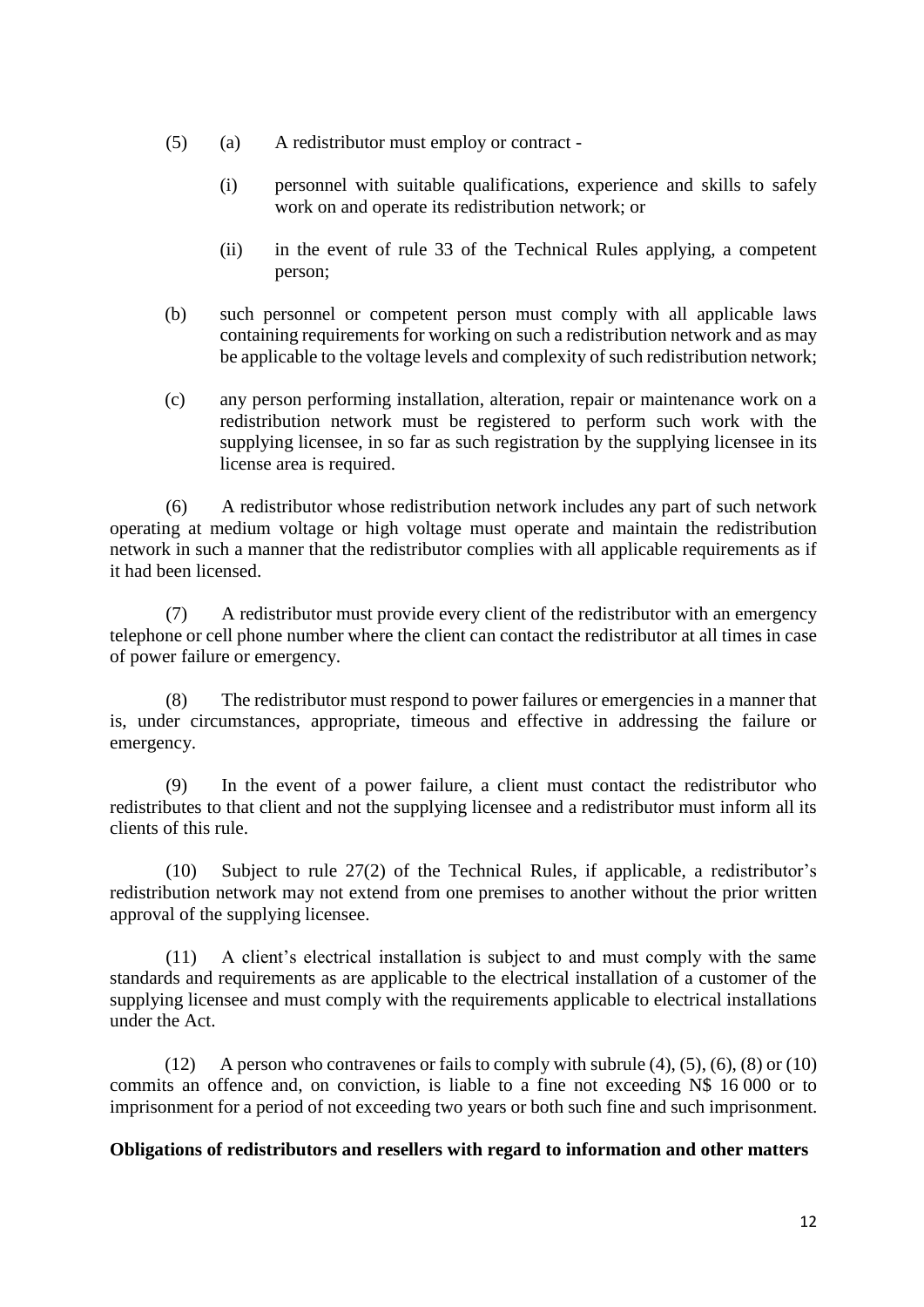- (5) (a) A redistributor must employ or contract
	- (i) personnel with suitable qualifications, experience and skills to safely work on and operate its redistribution network; or
	- (ii) in the event of rule 33 of the Technical Rules applying, a competent person;
- (b) such personnel or competent person must comply with all applicable laws containing requirements for working on such a redistribution network and as may be applicable to the voltage levels and complexity of such redistribution network;
- (c) any person performing installation, alteration, repair or maintenance work on a redistribution network must be registered to perform such work with the supplying licensee, in so far as such registration by the supplying licensee in its license area is required.

(6) A redistributor whose redistribution network includes any part of such network operating at medium voltage or high voltage must operate and maintain the redistribution network in such a manner that the redistributor complies with all applicable requirements as if it had been licensed.

(7) A redistributor must provide every client of the redistributor with an emergency telephone or cell phone number where the client can contact the redistributor at all times in case of power failure or emergency.

(8) The redistributor must respond to power failures or emergencies in a manner that is, under circumstances, appropriate, timeous and effective in addressing the failure or emergency.

(9) In the event of a power failure, a client must contact the redistributor who redistributes to that client and not the supplying licensee and a redistributor must inform all its clients of this rule.

(10) Subject to rule 27(2) of the Technical Rules, if applicable, a redistributor's redistribution network may not extend from one premises to another without the prior written approval of the supplying licensee.

(11) A client's electrical installation is subject to and must comply with the same standards and requirements as are applicable to the electrical installation of a customer of the supplying licensee and must comply with the requirements applicable to electrical installations under the Act.

(12) A person who contravenes or fails to comply with subrule (4), (5), (6), (8) or (10) commits an offence and, on conviction, is liable to a fine not exceeding N\$ 16 000 or to imprisonment for a period of not exceeding two years or both such fine and such imprisonment.

#### **Obligations of redistributors and resellers with regard to information and other matters**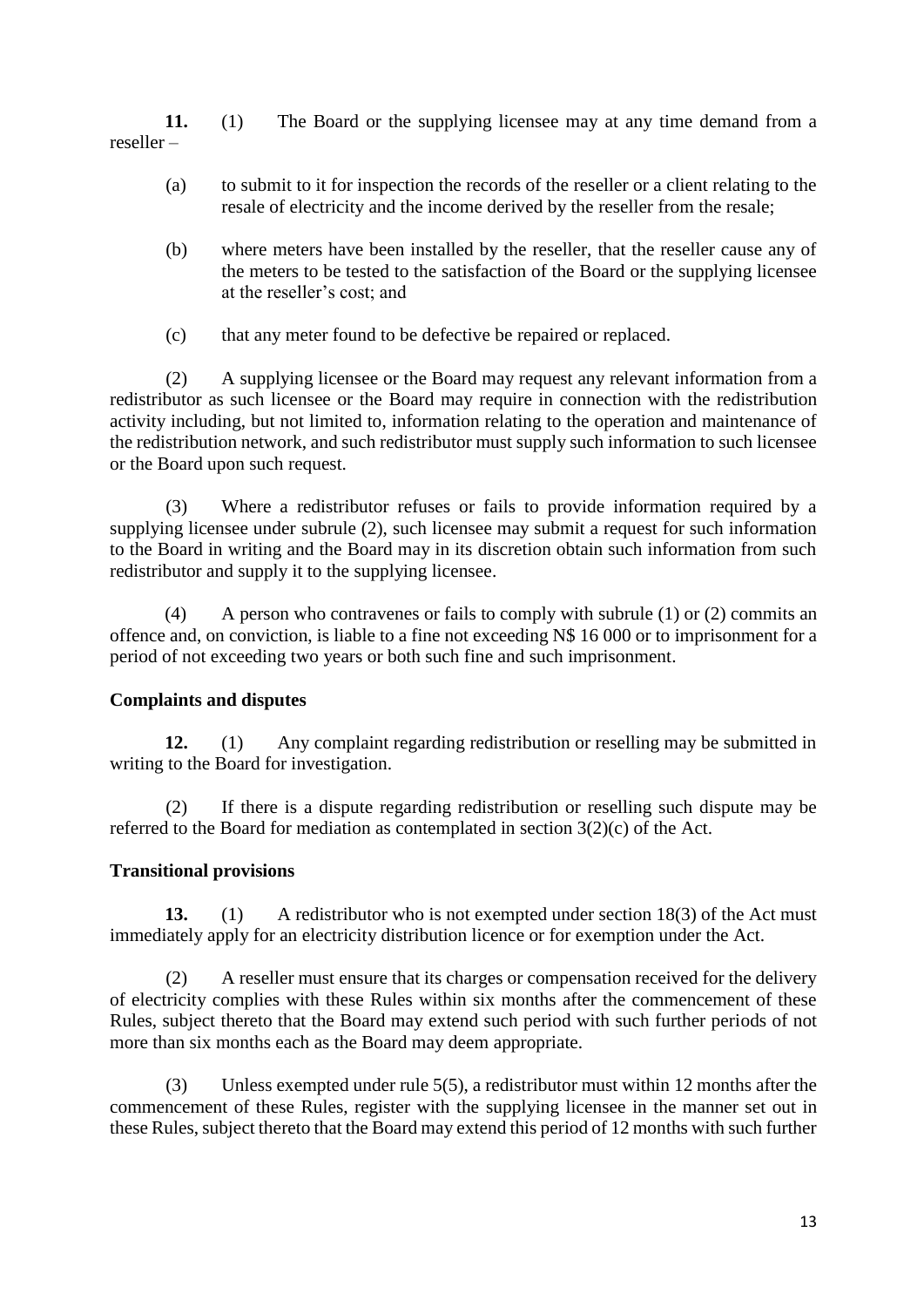**11.** (1) The Board or the supplying licensee may at any time demand from a reseller –

- (a) to submit to it for inspection the records of the reseller or a client relating to the resale of electricity and the income derived by the reseller from the resale;
- (b) where meters have been installed by the reseller, that the reseller cause any of the meters to be tested to the satisfaction of the Board or the supplying licensee at the reseller's cost; and
- (c) that any meter found to be defective be repaired or replaced.

(2) A supplying licensee or the Board may request any relevant information from a redistributor as such licensee or the Board may require in connection with the redistribution activity including, but not limited to, information relating to the operation and maintenance of the redistribution network, and such redistributor must supply such information to such licensee or the Board upon such request.

(3) Where a redistributor refuses or fails to provide information required by a supplying licensee under subrule (2), such licensee may submit a request for such information to the Board in writing and the Board may in its discretion obtain such information from such redistributor and supply it to the supplying licensee.

(4) A person who contravenes or fails to comply with subrule (1) or (2) commits an offence and, on conviction, is liable to a fine not exceeding N\$ 16 000 or to imprisonment for a period of not exceeding two years or both such fine and such imprisonment.

## **Complaints and disputes**

**12.** (1) Any complaint regarding redistribution or reselling may be submitted in writing to the Board for investigation.

(2) If there is a dispute regarding redistribution or reselling such dispute may be referred to the Board for mediation as contemplated in section 3(2)(c) of the Act.

## **Transitional provisions**

**13.** (1) A redistributor who is not exempted under section 18(3) of the Act must immediately apply for an electricity distribution licence or for exemption under the Act.

(2) A reseller must ensure that its charges or compensation received for the delivery of electricity complies with these Rules within six months after the commencement of these Rules, subject thereto that the Board may extend such period with such further periods of not more than six months each as the Board may deem appropriate.

(3) Unless exempted under rule 5(5), a redistributor must within 12 months after the commencement of these Rules, register with the supplying licensee in the manner set out in these Rules, subject thereto that the Board may extend this period of 12 months with such further